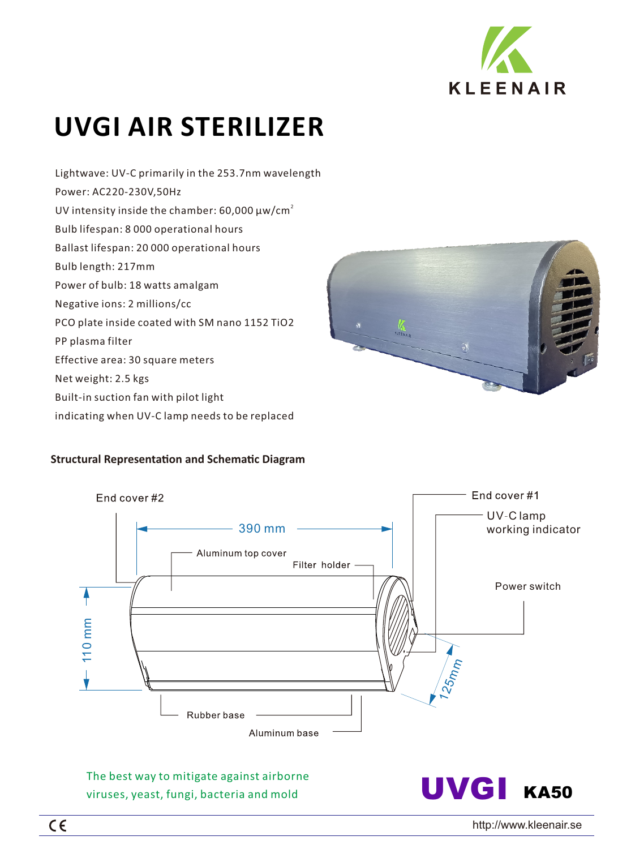

# **UVGI AIR STERILIZER**

Lightwave: UV-C primarily in the 253.7nm wavelength Power: AC220-230V,50Hz UV intensity inside the chamber: 60,000  $\mu$ w/cm $^2$ Bulb lifespan: 8 000 operational hours Ballast lifespan: 20 000 operational hours Bulb length: 217mm Power of bulb: 18 watts amalgam Negative ions: 2 millions/cc PCO plate inside coated with SM nano 1152 TiO2 PP plasma filter Effective area: 30 square meters Net weight: 2.5 kgs Built-in suction fan with pilot light indicating when UV-C lamp needs to be replaced



# **Structural Representation and Schematic Diagram**



The best way to mitigate against airborne viruses, yeast, fungi, bacteria and mold

UVGI KA50